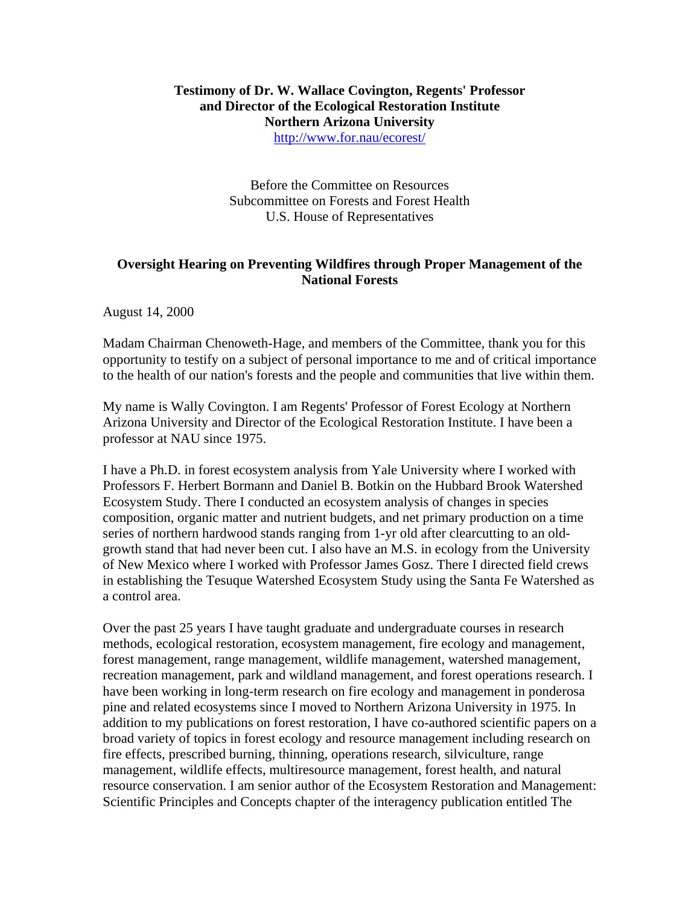# **Testimony of Dr. W. Wallace Covington, Regents' Professor and Director of the Ecological Restoration Institute Northern Arizona University**

<http://www.for.nau/ecorest/>

Before the Committee on Resources Subcommittee on Forests and Forest Health U.S. House of Representatives

# **Oversight Hearing on Preventing Wildfires through Proper Management of the National Forests**

August 14, 2000

Madam Chairman Chenoweth-Hage, and members of the Committee, thank you for this opportunity to testify on a subject of personal importance to me and of critical importance to the health of our nation's forests and the people and communities that live within them.

My name is Wally Covington. I am Regents' Professor of Forest Ecology at Northern Arizona University and Director of the Ecological Restoration Institute. I have been a professor at NAU since 1975.

I have a Ph.D. in forest ecosystem analysis from Yale University where I worked with Professors F. Herbert Bormann and Daniel B. Botkin on the Hubbard Brook Watershed Ecosystem Study. There I conducted an ecosystem analysis of changes in species composition, organic matter and nutrient budgets, and net primary production on a time series of northern hardwood stands ranging from 1-yr old after clearcutting to an oldgrowth stand that had never been cut. I also have an M.S. in ecology from the University of New Mexico where I worked with Professor James Gosz. There I directed field crews in establishing the Tesuque Watershed Ecosystem Study using the Santa Fe Watershed as a control area.

Over the past 25 years I have taught graduate and undergraduate courses in research methods, ecological restoration, ecosystem management, fire ecology and management, forest management, range management, wildlife management, watershed management, recreation management, park and wildland management, and forest operations research. I have been working in long-term research on fire ecology and management in ponderosa pine and related ecosystems since I moved to Northern Arizona University in 1975. In addition to my publications on forest restoration, I have co-authored scientific papers on a broad variety of topics in forest ecology and resource management including research on fire effects, prescribed burning, thinning, operations research, silviculture, range management, wildlife effects, multiresource management, forest health, and natural resource conservation. I am senior author of the Ecosystem Restoration and Management: Scientific Principles and Concepts chapter of the interagency publication entitled The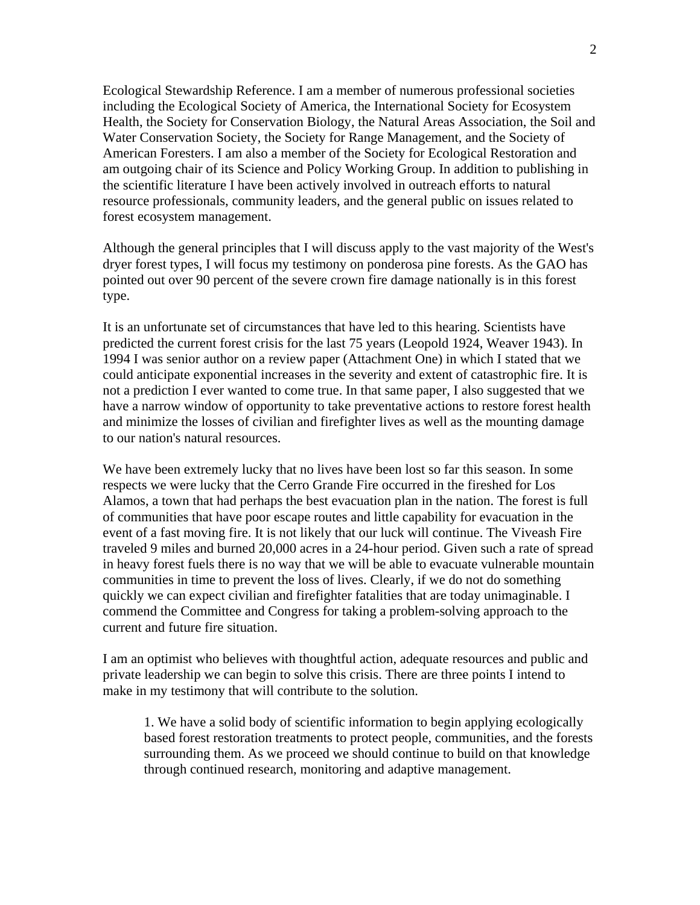Ecological Stewardship Reference. I am a member of numerous professional societies including the Ecological Society of America, the International Society for Ecosystem Health, the Society for Conservation Biology, the Natural Areas Association, the Soil and Water Conservation Society, the Society for Range Management, and the Society of American Foresters. I am also a member of the Society for Ecological Restoration and am outgoing chair of its Science and Policy Working Group. In addition to publishing in the scientific literature I have been actively involved in outreach efforts to natural resource professionals, community leaders, and the general public on issues related to forest ecosystem management.

Although the general principles that I will discuss apply to the vast majority of the West's dryer forest types, I will focus my testimony on ponderosa pine forests. As the GAO has pointed out over 90 percent of the severe crown fire damage nationally is in this forest type.

It is an unfortunate set of circumstances that have led to this hearing. Scientists have predicted the current forest crisis for the last 75 years (Leopold 1924, Weaver 1943). In 1994 I was senior author on a review paper (Attachment One) in which I stated that we could anticipate exponential increases in the severity and extent of catastrophic fire. It is not a prediction I ever wanted to come true. In that same paper, I also suggested that we have a narrow window of opportunity to take preventative actions to restore forest health and minimize the losses of civilian and firefighter lives as well as the mounting damage to our nation's natural resources.

We have been extremely lucky that no lives have been lost so far this season. In some respects we were lucky that the Cerro Grande Fire occurred in the fireshed for Los Alamos, a town that had perhaps the best evacuation plan in the nation. The forest is full of communities that have poor escape routes and little capability for evacuation in the event of a fast moving fire. It is not likely that our luck will continue. The Viveash Fire traveled 9 miles and burned 20,000 acres in a 24-hour period. Given such a rate of spread in heavy forest fuels there is no way that we will be able to evacuate vulnerable mountain communities in time to prevent the loss of lives. Clearly, if we do not do something quickly we can expect civilian and firefighter fatalities that are today unimaginable. I commend the Committee and Congress for taking a problem-solving approach to the current and future fire situation.

I am an optimist who believes with thoughtful action, adequate resources and public and private leadership we can begin to solve this crisis. There are three points I intend to make in my testimony that will contribute to the solution.

1. We have a solid body of scientific information to begin applying ecologically based forest restoration treatments to protect people, communities, and the forests surrounding them. As we proceed we should continue to build on that knowledge through continued research, monitoring and adaptive management.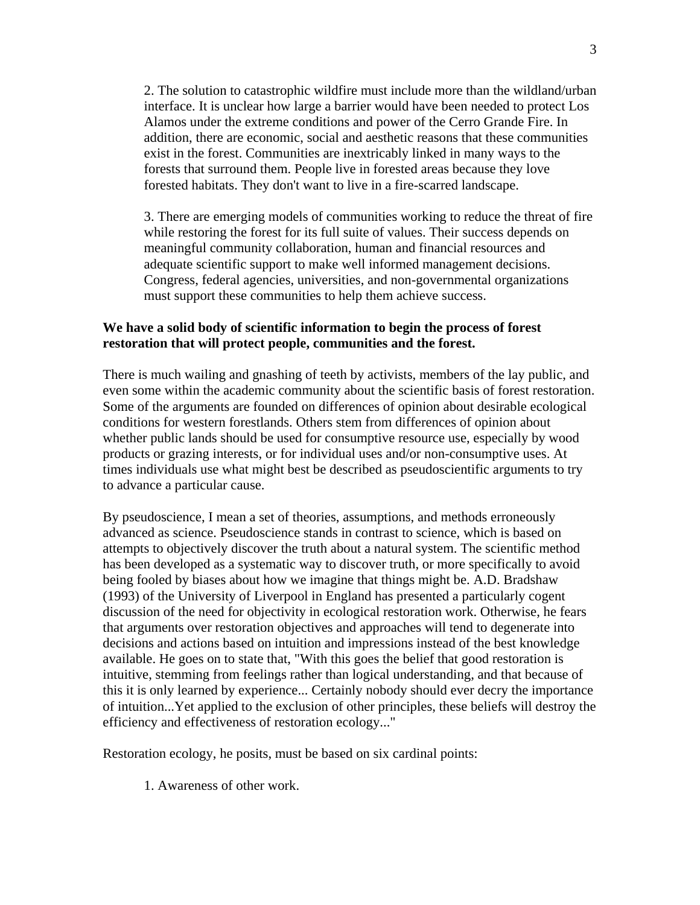2. The solution to catastrophic wildfire must include more than the wildland/urban interface. It is unclear how large a barrier would have been needed to protect Los Alamos under the extreme conditions and power of the Cerro Grande Fire. In addition, there are economic, social and aesthetic reasons that these communities exist in the forest. Communities are inextricably linked in many ways to the forests that surround them. People live in forested areas because they love forested habitats. They don't want to live in a fire-scarred landscape.

3. There are emerging models of communities working to reduce the threat of fire while restoring the forest for its full suite of values. Their success depends on meaningful community collaboration, human and financial resources and adequate scientific support to make well informed management decisions. Congress, federal agencies, universities, and non-governmental organizations must support these communities to help them achieve success.

# **We have a solid body of scientific information to begin the process of forest restoration that will protect people, communities and the forest.**

There is much wailing and gnashing of teeth by activists, members of the lay public, and even some within the academic community about the scientific basis of forest restoration. Some of the arguments are founded on differences of opinion about desirable ecological conditions for western forestlands. Others stem from differences of opinion about whether public lands should be used for consumptive resource use, especially by wood products or grazing interests, or for individual uses and/or non-consumptive uses. At times individuals use what might best be described as pseudoscientific arguments to try to advance a particular cause.

By pseudoscience, I mean a set of theories, assumptions, and methods erroneously advanced as science. Pseudoscience stands in contrast to science, which is based on attempts to objectively discover the truth about a natural system. The scientific method has been developed as a systematic way to discover truth, or more specifically to avoid being fooled by biases about how we imagine that things might be. A.D. Bradshaw (1993) of the University of Liverpool in England has presented a particularly cogent discussion of the need for objectivity in ecological restoration work. Otherwise, he fears that arguments over restoration objectives and approaches will tend to degenerate into decisions and actions based on intuition and impressions instead of the best knowledge available. He goes on to state that, "With this goes the belief that good restoration is intuitive, stemming from feelings rather than logical understanding, and that because of this it is only learned by experience... Certainly nobody should ever decry the importance of intuition...Yet applied to the exclusion of other principles, these beliefs will destroy the efficiency and effectiveness of restoration ecology..."

Restoration ecology, he posits, must be based on six cardinal points:

1. Awareness of other work.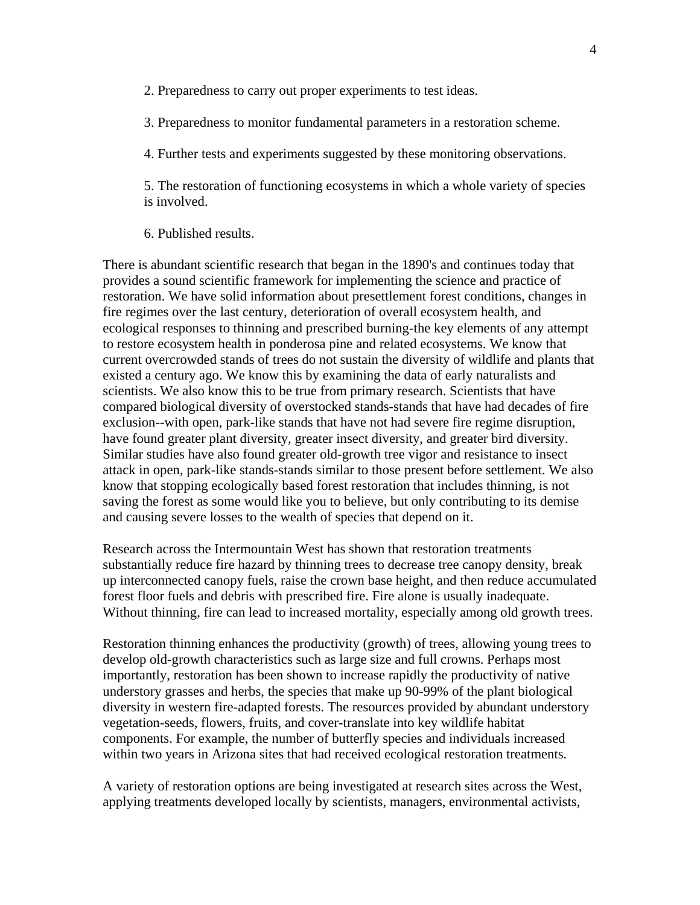2. Preparedness to carry out proper experiments to test ideas.

3. Preparedness to monitor fundamental parameters in a restoration scheme.

4. Further tests and experiments suggested by these monitoring observations.

5. The restoration of functioning ecosystems in which a whole variety of species is involved.

6. Published results.

There is abundant scientific research that began in the 1890's and continues today that provides a sound scientific framework for implementing the science and practice of restoration. We have solid information about presettlement forest conditions, changes in fire regimes over the last century, deterioration of overall ecosystem health, and ecological responses to thinning and prescribed burning-the key elements of any attempt to restore ecosystem health in ponderosa pine and related ecosystems. We know that current overcrowded stands of trees do not sustain the diversity of wildlife and plants that existed a century ago. We know this by examining the data of early naturalists and scientists. We also know this to be true from primary research. Scientists that have compared biological diversity of overstocked stands-stands that have had decades of fire exclusion--with open, park-like stands that have not had severe fire regime disruption, have found greater plant diversity, greater insect diversity, and greater bird diversity. Similar studies have also found greater old-growth tree vigor and resistance to insect attack in open, park-like stands-stands similar to those present before settlement. We also know that stopping ecologically based forest restoration that includes thinning, is not saving the forest as some would like you to believe, but only contributing to its demise and causing severe losses to the wealth of species that depend on it.

Research across the Intermountain West has shown that restoration treatments substantially reduce fire hazard by thinning trees to decrease tree canopy density, break up interconnected canopy fuels, raise the crown base height, and then reduce accumulated forest floor fuels and debris with prescribed fire. Fire alone is usually inadequate. Without thinning, fire can lead to increased mortality, especially among old growth trees.

Restoration thinning enhances the productivity (growth) of trees, allowing young trees to develop old-growth characteristics such as large size and full crowns. Perhaps most importantly, restoration has been shown to increase rapidly the productivity of native understory grasses and herbs, the species that make up 90-99% of the plant biological diversity in western fire-adapted forests. The resources provided by abundant understory vegetation-seeds, flowers, fruits, and cover-translate into key wildlife habitat components. For example, the number of butterfly species and individuals increased within two years in Arizona sites that had received ecological restoration treatments.

A variety of restoration options are being investigated at research sites across the West, applying treatments developed locally by scientists, managers, environmental activists,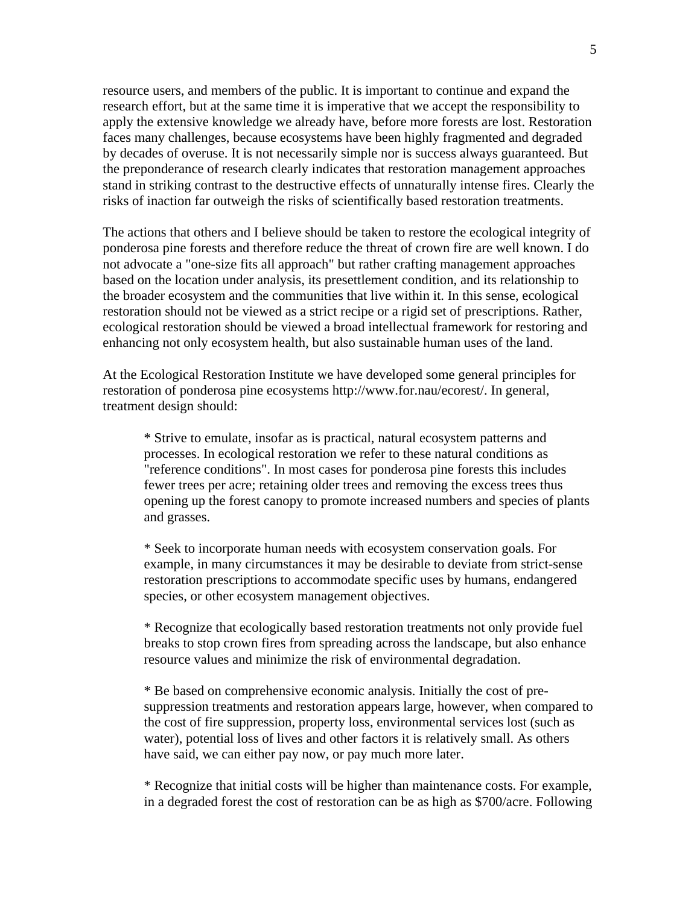resource users, and members of the public. It is important to continue and expand the research effort, but at the same time it is imperative that we accept the responsibility to apply the extensive knowledge we already have, before more forests are lost. Restoration faces many challenges, because ecosystems have been highly fragmented and degraded by decades of overuse. It is not necessarily simple nor is success always guaranteed. But the preponderance of research clearly indicates that restoration management approaches stand in striking contrast to the destructive effects of unnaturally intense fires. Clearly the risks of inaction far outweigh the risks of scientifically based restoration treatments.

The actions that others and I believe should be taken to restore the ecological integrity of ponderosa pine forests and therefore reduce the threat of crown fire are well known. I do not advocate a "one-size fits all approach" but rather crafting management approaches based on the location under analysis, its presettlement condition, and its relationship to the broader ecosystem and the communities that live within it. In this sense, ecological restoration should not be viewed as a strict recipe or a rigid set of prescriptions. Rather, ecological restoration should be viewed a broad intellectual framework for restoring and enhancing not only ecosystem health, but also sustainable human uses of the land.

At the Ecological Restoration Institute we have developed some general principles for restoration of ponderosa pine ecosystems http://www.for.nau/ecorest/. In general, treatment design should:

\* Strive to emulate, insofar as is practical, natural ecosystem patterns and processes. In ecological restoration we refer to these natural conditions as "reference conditions". In most cases for ponderosa pine forests this includes fewer trees per acre; retaining older trees and removing the excess trees thus opening up the forest canopy to promote increased numbers and species of plants and grasses.

\* Seek to incorporate human needs with ecosystem conservation goals. For example, in many circumstances it may be desirable to deviate from strict-sense restoration prescriptions to accommodate specific uses by humans, endangered species, or other ecosystem management objectives.

\* Recognize that ecologically based restoration treatments not only provide fuel breaks to stop crown fires from spreading across the landscape, but also enhance resource values and minimize the risk of environmental degradation.

\* Be based on comprehensive economic analysis. Initially the cost of presuppression treatments and restoration appears large, however, when compared to the cost of fire suppression, property loss, environmental services lost (such as water), potential loss of lives and other factors it is relatively small. As others have said, we can either pay now, or pay much more later.

\* Recognize that initial costs will be higher than maintenance costs. For example, in a degraded forest the cost of restoration can be as high as \$700/acre. Following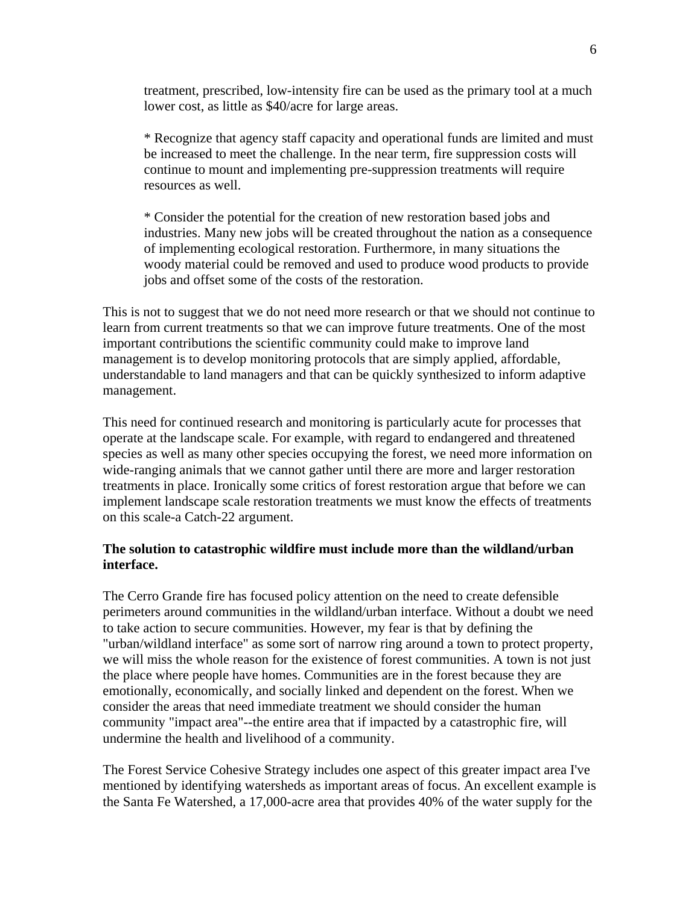treatment, prescribed, low-intensity fire can be used as the primary tool at a much lower cost, as little as \$40/acre for large areas.

\* Recognize that agency staff capacity and operational funds are limited and must be increased to meet the challenge. In the near term, fire suppression costs will continue to mount and implementing pre-suppression treatments will require resources as well.

\* Consider the potential for the creation of new restoration based jobs and industries. Many new jobs will be created throughout the nation as a consequence of implementing ecological restoration. Furthermore, in many situations the woody material could be removed and used to produce wood products to provide jobs and offset some of the costs of the restoration.

This is not to suggest that we do not need more research or that we should not continue to learn from current treatments so that we can improve future treatments. One of the most important contributions the scientific community could make to improve land management is to develop monitoring protocols that are simply applied, affordable, understandable to land managers and that can be quickly synthesized to inform adaptive management.

This need for continued research and monitoring is particularly acute for processes that operate at the landscape scale. For example, with regard to endangered and threatened species as well as many other species occupying the forest, we need more information on wide-ranging animals that we cannot gather until there are more and larger restoration treatments in place. Ironically some critics of forest restoration argue that before we can implement landscape scale restoration treatments we must know the effects of treatments on this scale-a Catch-22 argument.

### **The solution to catastrophic wildfire must include more than the wildland/urban interface.**

The Cerro Grande fire has focused policy attention on the need to create defensible perimeters around communities in the wildland/urban interface. Without a doubt we need to take action to secure communities. However, my fear is that by defining the "urban/wildland interface" as some sort of narrow ring around a town to protect property, we will miss the whole reason for the existence of forest communities. A town is not just the place where people have homes. Communities are in the forest because they are emotionally, economically, and socially linked and dependent on the forest. When we consider the areas that need immediate treatment we should consider the human community "impact area"--the entire area that if impacted by a catastrophic fire, will undermine the health and livelihood of a community.

The Forest Service Cohesive Strategy includes one aspect of this greater impact area I've mentioned by identifying watersheds as important areas of focus. An excellent example is the Santa Fe Watershed, a 17,000-acre area that provides 40% of the water supply for the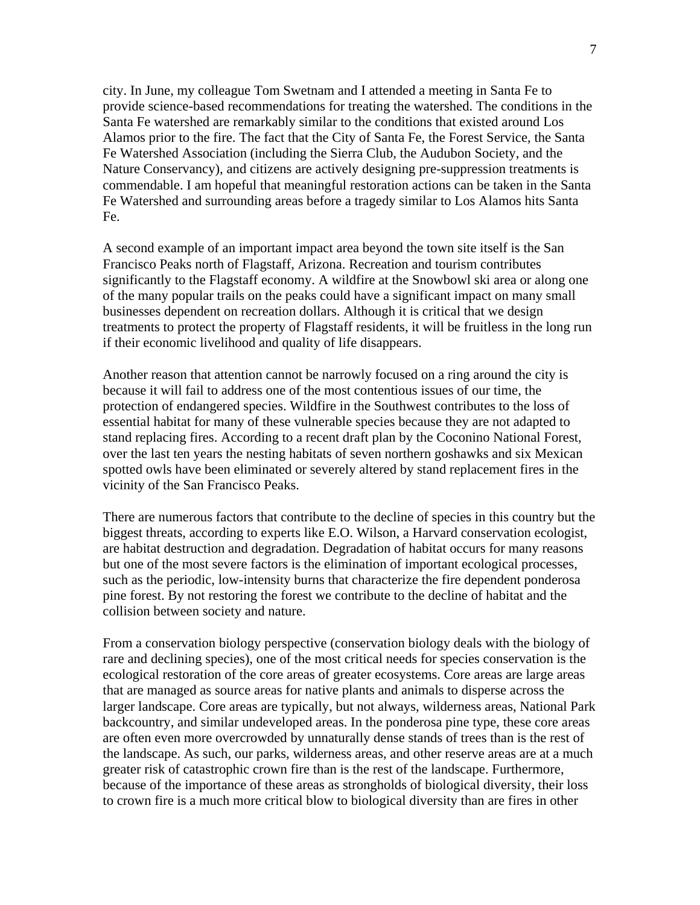city. In June, my colleague Tom Swetnam and I attended a meeting in Santa Fe to provide science-based recommendations for treating the watershed. The conditions in the Santa Fe watershed are remarkably similar to the conditions that existed around Los Alamos prior to the fire. The fact that the City of Santa Fe, the Forest Service, the Santa Fe Watershed Association (including the Sierra Club, the Audubon Society, and the Nature Conservancy), and citizens are actively designing pre-suppression treatments is commendable. I am hopeful that meaningful restoration actions can be taken in the Santa Fe Watershed and surrounding areas before a tragedy similar to Los Alamos hits Santa Fe.

A second example of an important impact area beyond the town site itself is the San Francisco Peaks north of Flagstaff, Arizona. Recreation and tourism contributes significantly to the Flagstaff economy. A wildfire at the Snowbowl ski area or along one of the many popular trails on the peaks could have a significant impact on many small businesses dependent on recreation dollars. Although it is critical that we design treatments to protect the property of Flagstaff residents, it will be fruitless in the long run if their economic livelihood and quality of life disappears.

Another reason that attention cannot be narrowly focused on a ring around the city is because it will fail to address one of the most contentious issues of our time, the protection of endangered species. Wildfire in the Southwest contributes to the loss of essential habitat for many of these vulnerable species because they are not adapted to stand replacing fires. According to a recent draft plan by the Coconino National Forest, over the last ten years the nesting habitats of seven northern goshawks and six Mexican spotted owls have been eliminated or severely altered by stand replacement fires in the vicinity of the San Francisco Peaks.

There are numerous factors that contribute to the decline of species in this country but the biggest threats, according to experts like E.O. Wilson, a Harvard conservation ecologist, are habitat destruction and degradation. Degradation of habitat occurs for many reasons but one of the most severe factors is the elimination of important ecological processes, such as the periodic, low-intensity burns that characterize the fire dependent ponderosa pine forest. By not restoring the forest we contribute to the decline of habitat and the collision between society and nature.

From a conservation biology perspective (conservation biology deals with the biology of rare and declining species), one of the most critical needs for species conservation is the ecological restoration of the core areas of greater ecosystems. Core areas are large areas that are managed as source areas for native plants and animals to disperse across the larger landscape. Core areas are typically, but not always, wilderness areas, National Park backcountry, and similar undeveloped areas. In the ponderosa pine type, these core areas are often even more overcrowded by unnaturally dense stands of trees than is the rest of the landscape. As such, our parks, wilderness areas, and other reserve areas are at a much greater risk of catastrophic crown fire than is the rest of the landscape. Furthermore, because of the importance of these areas as strongholds of biological diversity, their loss to crown fire is a much more critical blow to biological diversity than are fires in other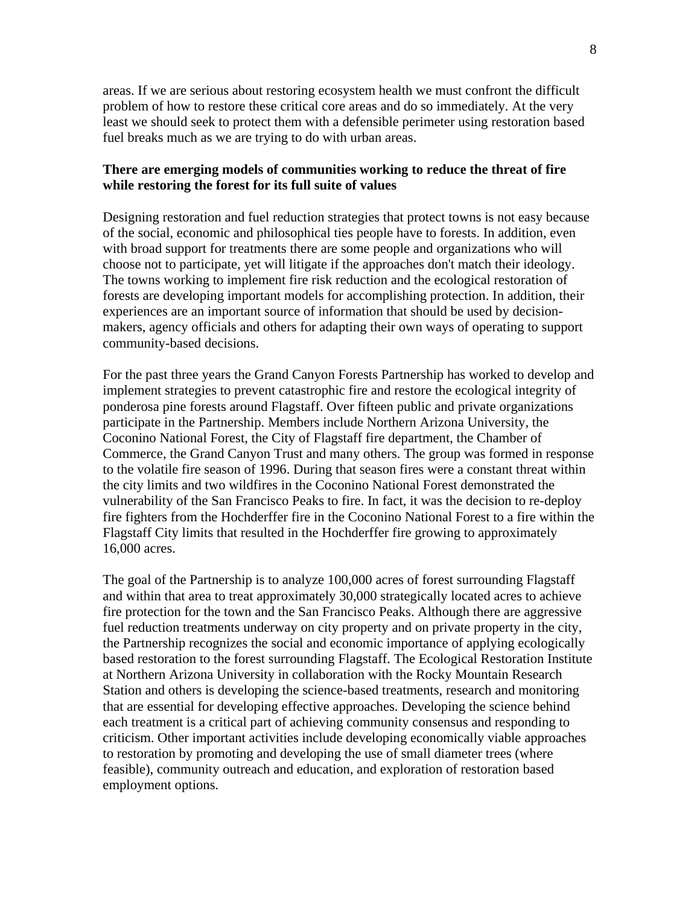areas. If we are serious about restoring ecosystem health we must confront the difficult problem of how to restore these critical core areas and do so immediately. At the very least we should seek to protect them with a defensible perimeter using restoration based fuel breaks much as we are trying to do with urban areas.

### **There are emerging models of communities working to reduce the threat of fire while restoring the forest for its full suite of values**

Designing restoration and fuel reduction strategies that protect towns is not easy because of the social, economic and philosophical ties people have to forests. In addition, even with broad support for treatments there are some people and organizations who will choose not to participate, yet will litigate if the approaches don't match their ideology. The towns working to implement fire risk reduction and the ecological restoration of forests are developing important models for accomplishing protection. In addition, their experiences are an important source of information that should be used by decisionmakers, agency officials and others for adapting their own ways of operating to support community-based decisions.

For the past three years the Grand Canyon Forests Partnership has worked to develop and implement strategies to prevent catastrophic fire and restore the ecological integrity of ponderosa pine forests around Flagstaff. Over fifteen public and private organizations participate in the Partnership. Members include Northern Arizona University, the Coconino National Forest, the City of Flagstaff fire department, the Chamber of Commerce, the Grand Canyon Trust and many others. The group was formed in response to the volatile fire season of 1996. During that season fires were a constant threat within the city limits and two wildfires in the Coconino National Forest demonstrated the vulnerability of the San Francisco Peaks to fire. In fact, it was the decision to re-deploy fire fighters from the Hochderffer fire in the Coconino National Forest to a fire within the Flagstaff City limits that resulted in the Hochderffer fire growing to approximately 16,000 acres.

The goal of the Partnership is to analyze 100,000 acres of forest surrounding Flagstaff and within that area to treat approximately 30,000 strategically located acres to achieve fire protection for the town and the San Francisco Peaks. Although there are aggressive fuel reduction treatments underway on city property and on private property in the city, the Partnership recognizes the social and economic importance of applying ecologically based restoration to the forest surrounding Flagstaff. The Ecological Restoration Institute at Northern Arizona University in collaboration with the Rocky Mountain Research Station and others is developing the science-based treatments, research and monitoring that are essential for developing effective approaches. Developing the science behind each treatment is a critical part of achieving community consensus and responding to criticism. Other important activities include developing economically viable approaches to restoration by promoting and developing the use of small diameter trees (where feasible), community outreach and education, and exploration of restoration based employment options.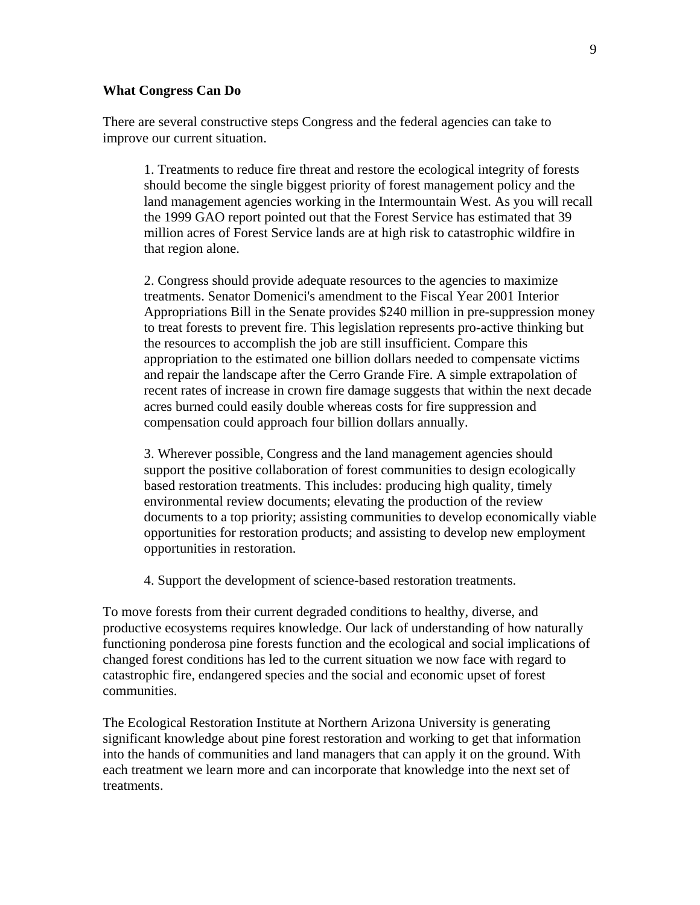#### **What Congress Can Do**

There are several constructive steps Congress and the federal agencies can take to improve our current situation.

1. Treatments to reduce fire threat and restore the ecological integrity of forests should become the single biggest priority of forest management policy and the land management agencies working in the Intermountain West. As you will recall the 1999 GAO report pointed out that the Forest Service has estimated that 39 million acres of Forest Service lands are at high risk to catastrophic wildfire in that region alone.

2. Congress should provide adequate resources to the agencies to maximize treatments. Senator Domenici's amendment to the Fiscal Year 2001 Interior Appropriations Bill in the Senate provides \$240 million in pre-suppression money to treat forests to prevent fire. This legislation represents pro-active thinking but the resources to accomplish the job are still insufficient. Compare this appropriation to the estimated one billion dollars needed to compensate victims and repair the landscape after the Cerro Grande Fire. A simple extrapolation of recent rates of increase in crown fire damage suggests that within the next decade acres burned could easily double whereas costs for fire suppression and compensation could approach four billion dollars annually.

3. Wherever possible, Congress and the land management agencies should support the positive collaboration of forest communities to design ecologically based restoration treatments. This includes: producing high quality, timely environmental review documents; elevating the production of the review documents to a top priority; assisting communities to develop economically viable opportunities for restoration products; and assisting to develop new employment opportunities in restoration.

4. Support the development of science-based restoration treatments.

To move forests from their current degraded conditions to healthy, diverse, and productive ecosystems requires knowledge. Our lack of understanding of how naturally functioning ponderosa pine forests function and the ecological and social implications of changed forest conditions has led to the current situation we now face with regard to catastrophic fire, endangered species and the social and economic upset of forest communities.

The Ecological Restoration Institute at Northern Arizona University is generating significant knowledge about pine forest restoration and working to get that information into the hands of communities and land managers that can apply it on the ground. With each treatment we learn more and can incorporate that knowledge into the next set of treatments.